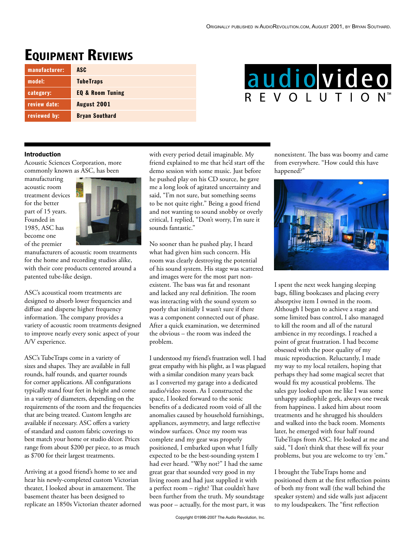## **EQUIPMENT REVIEWS**

| manufacturer: | ASC                         |
|---------------|-----------------------------|
| model:        | <b>TubeTraps</b>            |
| category:     | <b>EQ &amp; Room Tuning</b> |
| review date:  | August 2001                 |
| reviewed by:  | <b>Bryan Southard</b>       |

# audiovideo REVOLUTION

#### Introduction

Acoustic Sciences Corporation, more commonly known as ASC, has been

manufacturing acoustic room treatment devices for the better part of 15 years. Founded in 1985, ASC has become one of the premier



manufacturers of acoustic room treatments for the home and recording studios alike, with their core products centered around a patented tube-like design.

ASC's acoustical room treatments are designed to absorb lower frequencies and diffuse and disperse higher frequency information. The company provides a variety of acoustic room treatments designed to improve nearly every sonic aspect of your A/V experience.

ASC's TubeTraps come in a variety of sizes and shapes. They are available in full rounds, half rounds, and quarter rounds for corner applications. All configurations typically stand four feet in height and come in a variety of diameters, depending on the requirements of the room and the frequencies that are being treated. Custom lengths are available if necessary. ASC offers a variety of standard and custom fabric coverings to best match your home or studio décor. Prices range from about \$200 per piece, to as much as \$700 for their largest treatments.

Arriving at a good friend's home to see and hear his newly-completed custom Victorian theater, I looked about in amazement. The basement theater has been designed to replicate an 1850s Victorian theater adorned with every period detail imaginable. My friend explained to me that he'd start off the demo session with some music. Just before he pushed play on his CD source, he gave me a long look of agitated uncertainty and said, "I'm not sure, but something seems to be not quite right." Being a good friend and not wanting to sound snobby or overly critical, I replied, "Don't worry, I'm sure it sounds fantastic."

No sooner than he pushed play, I heard what had given him such concern. His room was clearly destroying the potential of his sound system. His stage was scattered and images were for the most part nonexistent. The bass was fat and resonant and lacked any real definition. The room was interacting with the sound system so poorly that initially I wasn't sure if there was a component connected out of phase. After a quick examination, we determined the obvious – the room was indeed the problem.

I understood my friend's frustration well. I had great empathy with his plight, as I was plagued with a similar condition many years back as I converted my garage into a dedicated audio/video room. As I constructed the space, I looked forward to the sonic benefits of a dedicated room void of all the anomalies caused by household furnishings, appliances, asymmetry, and large reflective window surfaces. Once my room was complete and my gear was properly positioned, I embarked upon what I fully expected to be the best-sounding system I had ever heard. "Why not?" I had the same great gear that sounded very good in my living room and had just supplied it with a perfect room – right? That couldn't have been further from the truth. My soundstage was poor – actually, for the most part, it was

nonexistent. The bass was boomy and came from everywhere. "How could this have happened?"



I spent the next week hanging sleeping bags, filling bookcases and placing every absorptive item I owned in the room. Although I began to achieve a stage and some limited bass control, I also managed to kill the room and all of the natural ambience in my recordings. I reached a point of great frustration. I had become obsessed with the poor quality of my music reproduction. Reluctantly, I made my way to my local retailers, hoping that perhaps they had some magical secret that would fix my acoustical problems. The sales guy looked upon me like I was some unhappy audiophile geek, always one tweak from happiness. I asked him about room treatments and he shrugged his shoulders and walked into the back room. Moments later, he emerged with four half round TubeTraps from ASC. He looked at me and said, "I don't think that these will fix your problems, but you are welcome to try 'em."

I brought the TubeTraps home and positioned them at the first reflection points of both my front wall (the wall behind the speaker system) and side walls just adjacent to my loudspeakers. The "first reflection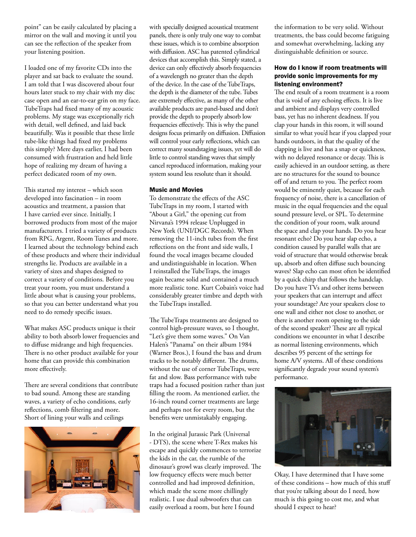point" can be easily calculated by placing a mirror on the wall and moving it until you can see the reflection of the speaker from your listening position.

I loaded one of my favorite CDs into the player and sat back to evaluate the sound. I am told that I was discovered about four hours later stuck to my chair with my disc case open and an ear-to-ear grin on my face. TubeTraps had fixed many of my acoustic problems. My stage was exceptionally rich with detail, well defined, and laid back beautifully. Was it possible that these little tube-like things had fixed my problems this simply? Mere days earlier, I had been consumed with frustration and held little hope of realizing my dream of having a perfect dedicated room of my own.

This started my interest – which soon developed into fascination – in room acoustics and treatment, a passion that I have carried ever since. Initially, I borrowed products from most of the major manufacturers. I tried a variety of products from RPG, Argent, Room Tunes and more. I learned about the technology behind each of these products and where their individual strengths lie. Products are available in a variety of sizes and shapes designed to correct a variety of conditions. Before you treat your room, you must understand a little about what is causing your problems, so that you can better understand what you need to do remedy specific issues.

What makes ASC products unique is their ability to both absorb lower frequencies and to diffuse midrange and high frequencies. There is no other product available for your home that can provide this combination more effectively.

There are several conditions that contribute to bad sound. Among these are standing waves, a variety of echo conditions, early reflections, comb filtering and more. Short of lining your walls and ceilings



with specially designed acoustical treatment panels, there is only truly one way to combat these issues, which is to combine absorption with diffusion. ASC has patented cylindrical devices that accomplish this. Simply stated, a device can only effectively absorb frequencies of a wavelength no greater than the depth of the device. In the case of the TubeTraps, the depth is the diameter of the tube. Tubes are extremely effective, as many of the other available products are panel-based and don't provide the depth to properly absorb low frequencies effectively. This is why the panel designs focus primarily on diffusion. Diffusion will control your early reflections, which can correct many soundstaging issues, yet will do little to control standing waves that simply cancel reproduced information, making your system sound less resolute than it should.

#### Music and Movies

To demonstrate the effects of the ASC TubeTraps in my room, I started with "About a Girl," the opening cut from Nirvana's 1994 release Unplugged in New York (UNI/DGC Records). When removing the 11-inch tubes from the first reflections on the front and side walls, I found the vocal images became clouded and undistinguishable in location. When I reinstalled the TubeTraps, the images again became solid and contained a much more realistic tone. Kurt Cobain's voice had considerably greater timbre and depth with the TubeTraps installed.

The TubeTraps treatments are designed to control high-pressure waves, so I thought, "Let's give them some waves." On Van Halen's "Panama" on their album 1984 (Warner Bros.), I found the bass and drum tracks to be notably different. The drums, without the use of corner TubeTraps, were fat and slow. Bass performance with tube traps had a focused position rather than just filling the room. As mentioned earlier, the 16-inch round corner treatments are large and perhaps not for every room, but the benefits were unmistakably engaging.

In the original Jurassic Park (Universal - DTS), the scene where T-Rex makes his escape and quickly commences to terrorize the kids in the car, the rumble of the dinosaur's growl was clearly improved. The low frequency effects were much better controlled and had improved definition, which made the scene more chillingly realistic. I use dual subwoofers that can easily overload a room, but here I found

the information to be very solid. Without treatments, the bass could become fatiguing and somewhat overwhelming, lacking any distinguishable definition or source.

### How do I know if room treatments will provide sonic improvements for my listening environment?

The end result of a room treatment is a room that is void of any echoing effects. It is live and ambient and displays very controlled bass, yet has no inherent deadness. If you clap your hands in this room, it will sound similar to what you'd hear if you clapped your hands outdoors, in that the quality of the clapping is live and has a snap or quickness, with no delayed resonance or decay. This is easily achieved in an outdoor setting, as there are no structures for the sound to bounce off of and return to you. The perfect room would be eminently quiet, because for each frequency of noise, there is a cancellation of music in the equal frequencies and the equal sound pressure level, or SPL. To determine the condition of your room, walk around the space and clap your hands. Do you hear resonant echo? Do you hear slap echo, a condition caused by parallel walls that are void of structure that would otherwise break up, absorb and often diffuse such bouncing waves? Slap echo can most often be identified by a quick chirp that follows the handclap. Do you have TVs and other items between your speakers that can interrupt and affect your soundstage? Are your speakers close to one wall and either not close to another, or there is another room opening to the side of the second speaker? These are all typical conditions we encounter in what I describe as normal listening environments, which describes 95 percent of the settings for home A/V systems. All of these conditions significantly degrade your sound system's performance.



Okay, I have determined that I have some of these conditions – how much of this stuff that you're talking about do I need, how much is this going to cost me, and what should I expect to hear?